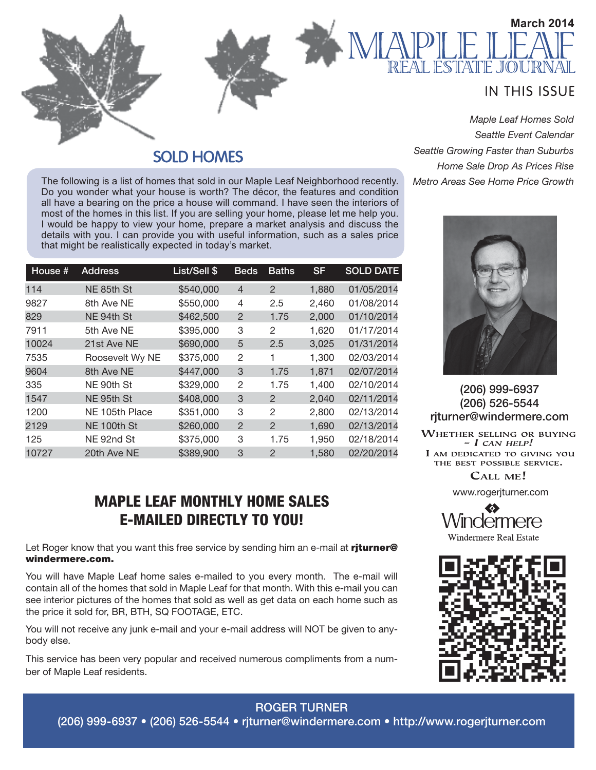

### **SOLD HOMES**

The following is a list of homes that sold in our Maple Leaf Neighborhood recently. Do you wonder what your house is worth? The décor, the features and condition all have a bearing on the price a house will command. I have seen the interiors of most of the homes in this list. If you are selling your home, please let me help you. I would be happy to view your home, prepare a market analysis and discuss the details with you. I can provide you with useful information, such as a sales price that might be realistically expected in today's market.

| House # | <b>Address</b>  | List/Sell \$ | <b>Beds</b>    | <b>Baths</b>  | <b>SF</b> | <b>SOLD DATE</b> |
|---------|-----------------|--------------|----------------|---------------|-----------|------------------|
| 114     | NE 85th St      | \$540,000    | $\overline{4}$ | 2             | 1,880     | 01/05/2014       |
| 9827    | 8th Ave NE      | \$550,000    | 4              | 2.5           | 2,460     | 01/08/2014       |
| 829     | NE 94th St      | \$462,500    | $\overline{2}$ | 1.75          | 2,000     | 01/10/2014       |
| 7911    | 5th Ave NE      | \$395,000    | 3              | 2             | 1,620     | 01/17/2014       |
| 10024   | 21st Ave NE     | \$690,000    | 5              | 2.5           | 3,025     | 01/31/2014       |
| 7535    | Roosevelt Wy NE | \$375,000    | 2              | 1             | 1,300     | 02/03/2014       |
| 9604    | 8th Ave NE      | \$447,000    | 3              | 1.75          | 1,871     | 02/07/2014       |
| 335     | NE 90th St      | \$329,000    | 2              | 1.75          | 1,400     | 02/10/2014       |
| 1547    | NE 95th St      | \$408,000    | 3              | $\mathcal{P}$ | 2,040     | 02/11/2014       |
| 1200    | NE 105th Place  | \$351,000    | 3              | 2             | 2,800     | 02/13/2014       |
| 2129    | NE 100th St     | \$260,000    | 2              | 2             | 1,690     | 02/13/2014       |
| 125     | NE 92nd St      | \$375,000    | 3              | 1.75          | 1,950     | 02/18/2014       |
| 10727   | 20th Ave NE     | \$389,900    | 3              | $\mathcal{P}$ | 1,580     | 02/20/2014       |

## **M**APLE LEAF MONTHLY HOME SALES E-MAILED DIRECTLY TO YOU!

Let Roger know that you want this free service by sending him an e-mail at riturner@ windermere.com.

You will have Maple Leaf home sales e-mailed to you every month. The e-mail will contain all of the homes that sold in Maple Leaf for that month. With this e-mail you can see interior pictures of the homes that sold as well as get data on each home such as the price it sold for, BR, BTH, SQ FOOTAGE, ETC.

You will not receive any junk e-mail and your e-mail address will NOT be given to anybody else.

This service has been very popular and received numerous compliments from a number of Maple Leaf residents.

*Seattle Event Calendar Seattle Growing Faster than Suburbs Home Sale Drop As Prices Rise Metro Areas See Home Price Growth*



(206) 999-6937 (206) 526-5544 rjturner@windermere.com

**WHETHER SELLING OR BUYING**  $- I$  CAN HELP! I AM DEDICATED TO GIVING YOU THE BEST POSSIBLE SERVICE.

CALL ME!

www.rogerjturner.com





ROGER TURNER

#### (206) 999-6937 • (206) 526-5544 • rjturner@windermere.com • http://www.rogerjturner.com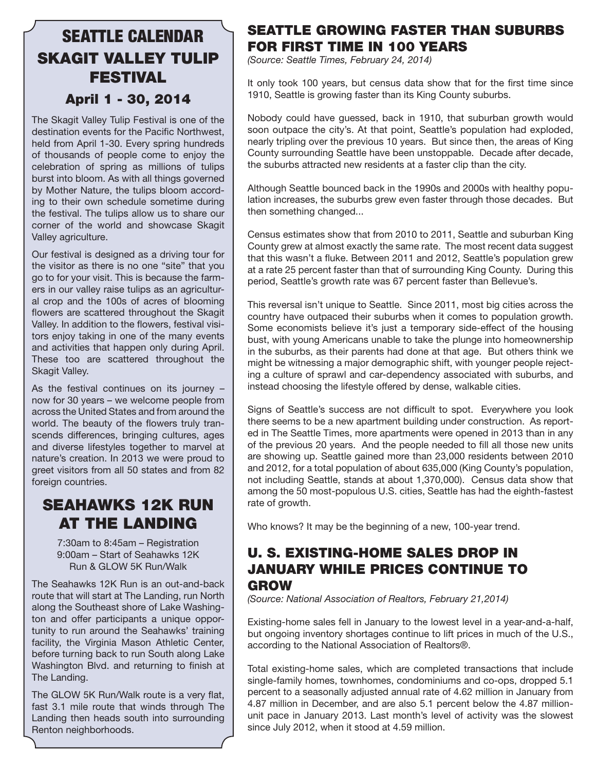## SEATTLE CALENDAR SKAGIT VALLEY TULIP FESTIVAL April 1 - 30, 2014

#### The Skagit Valley Tulip Festival is one of the destination events for the Pacific Northwest, held from April 1-30. Every spring hundreds of thousands of people come to enjoy the celebration of spring as millions of tulips burst into bloom. As with all things governed by Mother Nature, the tulips bloom according to their own schedule sometime during the festival. The tulips allow us to share our corner of the world and showcase Skagit Valley agriculture.

Our festival is designed as a driving tour for the visitor as there is no one "site" that you go to for your visit. This is because the farmers in our valley raise tulips as an agricultural crop and the 100s of acres of blooming flowers are scattered throughout the Skagit Valley. In addition to the flowers, festival visitors enjoy taking in one of the many events and activities that happen only during April. These too are scattered throughout the Skagit Valley.

As the festival continues on its journey – now for 30 years – we welcome people from across the United States and from around the world. The beauty of the flowers truly transcends differences, bringing cultures, ages and diverse lifestyles together to marvel at nature's creation. In 2013 we were proud to greet visitors from all 50 states and from 82 foreign countries.

## SEAHAWKS 12K RUN AT THE LANDING

7:30am to 8:45am – Registration 9:00am – Start of Seahawks 12K Run & GLOW 5K Run/Walk

The Seahawks 12K Run is an out-and-back route that will start at The Landing, run North along the Southeast shore of Lake Washington and offer participants a unique opportunity to run around the Seahawks' training facility, the Virginia Mason Athletic Center, before turning back to run South along Lake Washington Blvd. and returning to finish at The Landing.

The GLOW 5K Run/Walk route is a very flat, fast 3.1 mile route that winds through The Landing then heads south into surrounding Renton neighborhoods.

### SEATTLE GROWING FASTER THAN SUBURBS FOR FIRST TIME IN 100 YEARS

*(Source: Seattle Times, February 24, 2014)*

It only took 100 years, but census data show that for the first time since 1910, Seattle is growing faster than its King County suburbs.

Nobody could have guessed, back in 1910, that suburban growth would soon outpace the city's. At that point, Seattle's population had exploded, nearly tripling over the previous 10 years. But since then, the areas of King County surrounding Seattle have been unstoppable. Decade after decade, the suburbs attracted new residents at a faster clip than the city.

Although Seattle bounced back in the 1990s and 2000s with healthy population increases, the suburbs grew even faster through those decades. But then something changed...

Census estimates show that from 2010 to 2011, Seattle and suburban King County grew at almost exactly the same rate. The most recent data suggest that this wasn't a fluke. Between 2011 and 2012, Seattle's population grew at a rate 25 percent faster than that of surrounding King County. During this period, Seattle's growth rate was 67 percent faster than Bellevue's.

This reversal isn't unique to Seattle. Since 2011, most big cities across the country have outpaced their suburbs when it comes to population growth. Some economists believe it's just a temporary side-effect of the housing bust, with young Americans unable to take the plunge into homeownership in the suburbs, as their parents had done at that age. But others think we might be witnessing a major demographic shift, with younger people rejecting a culture of sprawl and car-dependency associated with suburbs, and instead choosing the lifestyle offered by dense, walkable cities.

Signs of Seattle's success are not difficult to spot. Everywhere you look there seems to be a new apartment building under construction. As reported in The Seattle Times, more apartments were opened in 2013 than in any of the previous 20 years. And the people needed to fill all those new units are showing up. Seattle gained more than 23,000 residents between 2010 and 2012, for a total population of about 635,000 (King County's population, not including Seattle, stands at about 1,370,000). Census data show that among the 50 most-populous U.S. cities, Seattle has had the eighth-fastest rate of growth.

Who knows? It may be the beginning of a new, 100-year trend.

### U. S. EXISTING-HOME SALES DROP IN JANUARY WHILE PRICES CONTINUE TO GROW

*(Source: National Association of Realtors, February 21,2014)*

Existing-home sales fell in January to the lowest level in a year-and-a-half, but ongoing inventory shortages continue to lift prices in much of the U.S., according to the National Association of Realtors®.

Total existing-home sales, which are completed transactions that include single-family homes, townhomes, condominiums and co-ops, dropped 5.1 percent to a seasonally adjusted annual rate of 4.62 million in January from 4.87 million in December, and are also 5.1 percent below the 4.87 millionunit pace in January 2013. Last month's level of activity was the slowest since July 2012, when it stood at 4.59 million.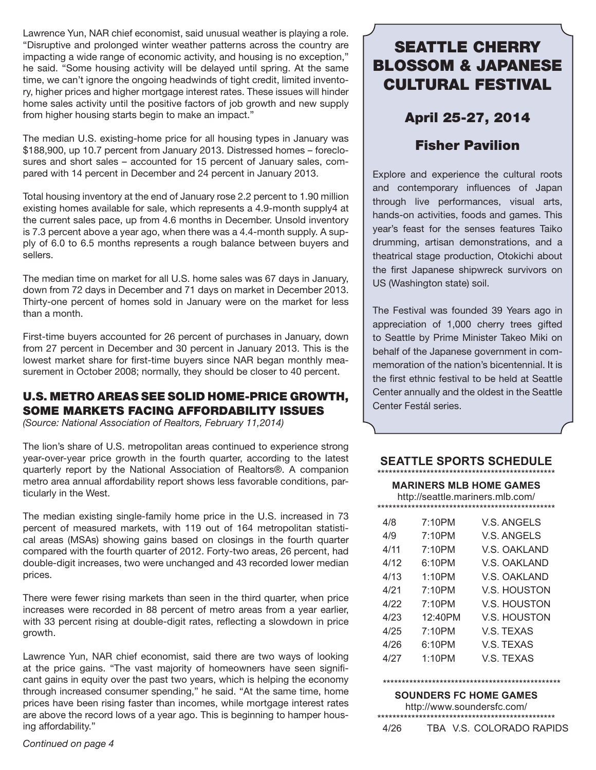Lawrence Yun, NAR chief economist, said unusual weather is playing a role. "Disruptive and prolonged winter weather patterns across the country are impacting a wide range of economic activity, and housing is no exception," he said. "Some housing activity will be delayed until spring. At the same time, we can't ignore the ongoing headwinds of tight credit, limited inventory, higher prices and higher mortgage interest rates. These issues will hinder home sales activity until the positive factors of job growth and new supply from higher housing starts begin to make an impact."

The median U.S. existing-home price for all housing types in January was \$188,900, up 10.7 percent from January 2013. Distressed homes – foreclosures and short sales – accounted for 15 percent of January sales, compared with 14 percent in December and 24 percent in January 2013.

Total housing inventory at the end of January rose 2.2 percent to 1.90 million existing homes available for sale, which represents a 4.9-month supply4 at the current sales pace, up from 4.6 months in December. Unsold inventory is 7.3 percent above a year ago, when there was a 4.4-month supply. A supply of 6.0 to 6.5 months represents a rough balance between buyers and sellers.

The median time on market for all U.S. home sales was 67 days in January, down from 72 days in December and 71 days on market in December 2013. Thirty-one percent of homes sold in January were on the market for less than a month.

First-time buyers accounted for 26 percent of purchases in January, down from 27 percent in December and 30 percent in January 2013. This is the lowest market share for first-time buyers since NAR began monthly measurement in October 2008; normally, they should be closer to 40 percent.

#### U.S. METRO AREAS SEE SOLID HOME-PRICE GROWTH, SOME MARKETS FACING AFFORDABILITY ISSUES

*(Source: National Association of Realtors, February 11,2014)*

The lion's share of U.S. metropolitan areas continued to experience strong year-over-year price growth in the fourth quarter, according to the latest quarterly report by the National Association of Realtors®. A companion metro area annual affordability report shows less favorable conditions, particularly in the West.

The median existing single-family home price in the U.S. increased in 73 percent of measured markets, with 119 out of 164 metropolitan statistical areas (MSAs) showing gains based on closings in the fourth quarter compared with the fourth quarter of 2012. Forty-two areas, 26 percent, had double-digit increases, two were unchanged and 43 recorded lower median prices.

There were fewer rising markets than seen in the third quarter, when price increases were recorded in 88 percent of metro areas from a year earlier, with 33 percent rising at double-digit rates, reflecting a slowdown in price growth.

Lawrence Yun, NAR chief economist, said there are two ways of looking at the price gains. "The vast majority of homeowners have seen significant gains in equity over the past two years, which is helping the economy through increased consumer spending," he said. "At the same time, home prices have been rising faster than incomes, while mortgage interest rates are above the record lows of a year ago. This is beginning to hamper housing affordability."

*Continued on page 4*

## SEATTLE CHERRY BLOSSOM & JAPANESE CULTURAL FESTIVAL

### April 25-27, 2014

### Fisher Pavilion

Explore and experience the cultural roots and contemporary influences of Japan through live performances, visual arts, hands-on activities, foods and games. This year's feast for the senses features Taiko drumming, artisan demonstrations, and a theatrical stage production, Otokichi about the first Japanese shipwreck survivors on US (Washington state) soil.

The Festival was founded 39 Years ago in appreciation of 1,000 cherry trees gifted to Seattle by Prime Minister Takeo Miki on behalf of the Japanese government in commemoration of the nation's bicentennial. It is the first ethnic festival to be held at Seattle Center annually and the oldest in the Seattle Center Festál series.

#### **SEATTLE SPORTS SCHEDULE** \*\*\*\*\*\*\*\*\*\*\*\*\*\*\*\*\*\*\*\*\*\*\*\*\*\*\*\*\*\*\*\*\*\*\*\*\*\*\*\*\*\*\*\*\*\*\*

#### **MARINERS MLB HOME GAMES**

http://seattle.mariners.mlb.com/ \*\*\*\*\*\*\*\*\*\*\*\*\*\*\*\*\*\*\*\*\*\*\*\*\*\*\*\*\*\*\*\*\*\*\*\*\*\*\*\*\*\*\*\*\*\*\*

| 7:10PM     | V.S. ANGELS         |
|------------|---------------------|
| 7:10PM     | <b>V.S. ANGELS</b>  |
| 7:10PM     | V.S. OAKLAND        |
| 6:10PM     | V.S. OAKLAND        |
| 1:10PM     | V.S. OAKLAND        |
| 7:10PM     | <b>V.S. HOUSTON</b> |
| 7:10PM     | <b>V.S. HOUSTON</b> |
| $12.40$ PM | VS HOUSTON          |
| 7:10PM     | V.S. TEXAS          |
| 6:10PM     | V.S. TEXAS          |
| 1:10PM     | V.S. TEXAS          |
|            |                     |

#### \*\*\*\*\*\*\*\*\*\*\*\*\*\*\*\*\*\*\*\*\*\*\*\*\*\*\*\*\*\*\*\*\*\*\*\*\*\*\*\*\*\*\*\*\*\*\*

**SOUNDERS FC HOME GAMES**

http://www.soundersfc.com/

\*\*\*\*\*\*\*\*\*\*\*\*\*\*\*\*\*\*\*\*\*\*\*\*\*\*\*\*\*\*\*\*\*\*\*\*\*\*\*\*\*\*\*\*\*\*\* TBA V.S. COLORADO RAPIDS